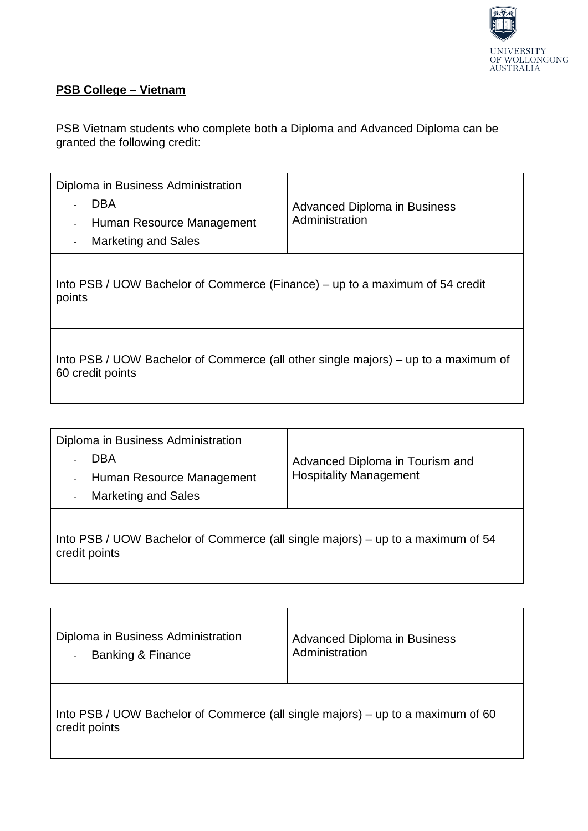

## **PSB College – Vietnam**

PSB Vietnam students who complete both a Diploma and Advanced Diploma can be granted the following credit:

| Diploma in Business Administration<br><b>DBA</b><br>Human Resource Management<br><b>Marketing and Sales</b> | <b>Advanced Diploma in Business</b><br>Administration |  |
|-------------------------------------------------------------------------------------------------------------|-------------------------------------------------------|--|
| Into PSB / UOW Bachelor of Commerce (Finance) – up to a maximum of 54 credit<br>points                      |                                                       |  |
| Into PSB / UOW Bachelor of Commerce (all other single majors) – up to a maximum of<br>60 credit points      |                                                       |  |

| Diploma in Business Administration<br>DBA<br>Human Resource Management<br>$\sim$<br><b>Marketing and Sales</b><br>$\blacksquare$ | Advanced Diploma in Tourism and<br><b>Hospitality Management</b> |
|----------------------------------------------------------------------------------------------------------------------------------|------------------------------------------------------------------|
| Into PSB / UOW Bachelor of Commerce (all single majors) – up to a maximum of 54                                                  |                                                                  |

credit points

| Diploma in Business Administration<br><b>Banking &amp; Finance</b><br>$\overline{\phantom{a}}$   | <b>Advanced Diploma in Business</b><br>Administration |  |
|--------------------------------------------------------------------------------------------------|-------------------------------------------------------|--|
| Into PSB / UOW Bachelor of Commerce (all single majors) – up to a maximum of 60<br>credit points |                                                       |  |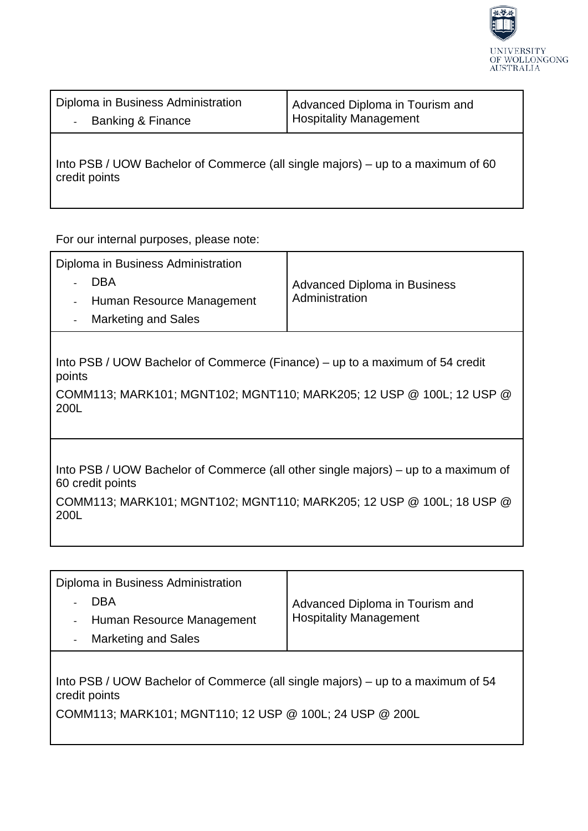

Diploma in Business Administration - Banking & Finance Advanced Diploma in Tourism and Hospitality Management

Into PSB / UOW Bachelor of Commerce (all single majors) – up to a maximum of 60 credit points

For our internal purposes, please note:

| Diploma in Business Administration<br><b>DBA</b><br>Human Resource Management<br><b>Marketing and Sales</b>                                                                            | <b>Advanced Diploma in Business</b><br>Administration |  |
|----------------------------------------------------------------------------------------------------------------------------------------------------------------------------------------|-------------------------------------------------------|--|
| Into PSB / UOW Bachelor of Commerce (Finance) – up to a maximum of 54 credit<br>points<br>COMM113; MARK101; MGNT102; MGNT110; MARK205; 12 USP @ 100L; 12 USP @<br>200L                 |                                                       |  |
| Into PSB / UOW Bachelor of Commerce (all other single majors) – up to a maximum of<br>60 credit points<br>COMM113; MARK101; MGNT102; MGNT110; MARK205; 12 USP @ 100L; 18 USP @<br>200L |                                                       |  |

| Diploma in Business Administration<br>- DBA            | Advanced Diploma in Tourism and<br><b>Hospitality Management</b> |
|--------------------------------------------------------|------------------------------------------------------------------|
| - Human Resource Management                            |                                                                  |
| <b>Marketing and Sales</b><br>$\overline{\phantom{a}}$ |                                                                  |
|                                                        |                                                                  |

Into PSB / UOW Bachelor of Commerce (all single majors) – up to a maximum of 54 credit points

COMM113; MARK101; MGNT110; 12 USP @ 100L; 24 USP @ 200L